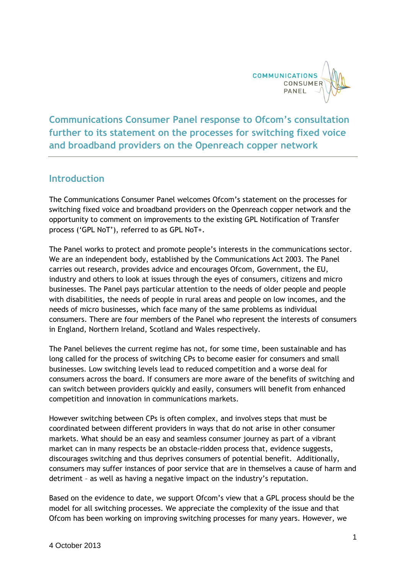

**Communications Consumer Panel response to Ofcom's consultation further to its statement on the processes for switching fixed voice and broadband providers on the Openreach copper network**

## **Introduction**

The Communications Consumer Panel welcomes Ofcom's statement on the processes for switching fixed voice and broadband providers on the Openreach copper network and the opportunity to comment on improvements to the existing GPL Notification of Transfer process ('GPL NoT'), referred to as GPL NoT+.

The Panel works to protect and promote people's interests in the communications sector. We are an independent body, established by the Communications Act 2003. The Panel carries out research, provides advice and encourages Ofcom, Government, the EU, industry and others to look at issues through the eyes of consumers, citizens and micro businesses. The Panel pays particular attention to the needs of older people and people with disabilities, the needs of people in rural areas and people on low incomes, and the needs of micro businesses, which face many of the same problems as individual consumers. There are four members of the Panel who represent the interests of consumers in England, Northern Ireland, Scotland and Wales respectively.

The Panel believes the current regime has not, for some time, been sustainable and has long called for the process of switching CPs to become easier for consumers and small businesses. Low switching levels lead to reduced competition and a worse deal for consumers across the board. If consumers are more aware of the benefits of switching and can switch between providers quickly and easily, consumers will benefit from enhanced competition and innovation in communications markets.

However switching between CPs is often complex, and involves steps that must be coordinated between different providers in ways that do not arise in other consumer markets. What should be an easy and seamless consumer journey as part of a vibrant market can in many respects be an obstacle-ridden process that, evidence suggests, discourages switching and thus deprives consumers of potential benefit. Additionally, consumers may suffer instances of poor service that are in themselves a cause of harm and detriment – as well as having a negative impact on the industry's reputation.

Based on the evidence to date, we support Ofcom's view that a GPL process should be the model for all switching processes. We appreciate the complexity of the issue and that Ofcom has been working on improving switching processes for many years. However, we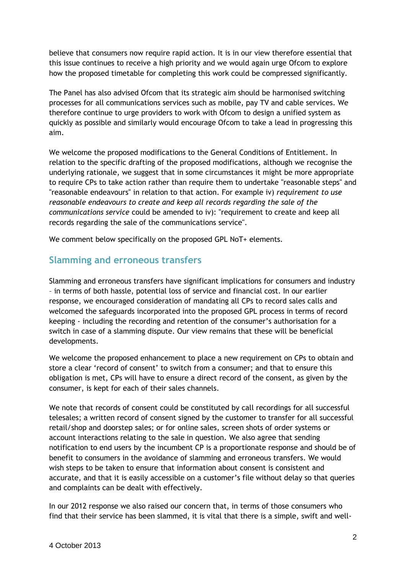believe that consumers now require rapid action. It is in our view therefore essential that this issue continues to receive a high priority and we would again urge Ofcom to explore how the proposed timetable for completing this work could be compressed significantly.

The Panel has also advised Ofcom that its strategic aim should be harmonised switching processes for all communications services such as mobile, pay TV and cable services. We therefore continue to urge providers to work with Ofcom to design a unified system as quickly as possible and similarly would encourage Ofcom to take a lead in progressing this aim.

We welcome the proposed modifications to the General Conditions of Entitlement. In relation to the specific drafting of the proposed modifications, although we recognise the underlying rationale, we suggest that in some circumstances it might be more appropriate to require CPs to take action rather than require them to undertake "reasonable steps" and "reasonable endeavours" in relation to that action. For example iv) *requirement to use reasonable endeavours to create and keep all records regarding the sale of the communications service* could be amended to iv): "requirement to create and keep all records regarding the sale of the communications service".

We comment below specifically on the proposed GPL NoT+ elements.

## **Slamming and erroneous transfers**

Slamming and erroneous transfers have significant implications for consumers and industry – in terms of both hassle, potential loss of service and financial cost. In our earlier response, we encouraged consideration of mandating all CPs to record sales calls and welcomed the safeguards incorporated into the proposed GPL process in terms of record keeping - including the recording and retention of the consumer's authorisation for a switch in case of a slamming dispute. Our view remains that these will be beneficial developments.

We welcome the proposed enhancement to place a new requirement on CPs to obtain and store a clear 'record of consent' to switch from a consumer; and that to ensure this obligation is met, CPs will have to ensure a direct record of the consent, as given by the consumer, is kept for each of their sales channels.

We note that records of consent could be constituted by call recordings for all successful telesales; a written record of consent signed by the customer to transfer for all successful retail/shop and doorstep sales; or for online sales, screen shots of order systems or account interactions relating to the sale in question. We also agree that sending notification to end users by the incumbent CP is a proportionate response and should be of benefit to consumers in the avoidance of slamming and erroneous transfers. We would wish steps to be taken to ensure that information about consent is consistent and accurate, and that it is easily accessible on a customer's file without delay so that queries and complaints can be dealt with effectively.

In our 2012 response we also raised our concern that, in terms of those consumers who find that their service has been slammed, it is vital that there is a simple, swift and well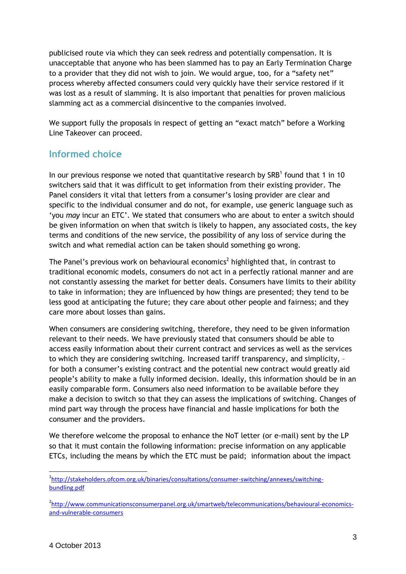publicised route via which they can seek redress and potentially compensation. It is unacceptable that anyone who has been slammed has to pay an Early Termination Charge to a provider that they did not wish to join. We would argue, too, for a "safety net" process whereby affected consumers could very quickly have their service restored if it was lost as a result of slamming. It is also important that penalties for proven malicious slamming act as a commercial disincentive to the companies involved.

We support fully the proposals in respect of getting an "exact match" before a Working Line Takeover can proceed.

## **Informed choice**

In our previous response we noted that quantitative research by  $SRB<sup>1</sup>$  found that 1 in 10 switchers said that it was difficult to get information from their existing provider. The Panel considers it vital that letters from a consumer's losing provider are clear and specific to the individual consumer and do not, for example, use generic language such as 'you *may* incur an ETC'. We stated that consumers who are about to enter a switch should be given information on when that switch is likely to happen, any associated costs, the key terms and conditions of the new service, the possibility of any loss of service during the switch and what remedial action can be taken should something go wrong.

The Panel's previous work on behavioural economics<sup>2</sup> highlighted that, in contrast to traditional economic models, consumers do not act in a perfectly rational manner and are not constantly assessing the market for better deals. Consumers have limits to their ability to take in information; they are influenced by how things are presented; they tend to be less good at anticipating the future; they care about other people and fairness; and they care more about losses than gains.

When consumers are considering switching, therefore, they need to be given information relevant to their needs. We have previously stated that consumers should be able to access easily information about their current contract and services as well as the services to which they are considering switching. Increased tariff transparency, and simplicity, – for both a consumer's existing contract and the potential new contract would greatly aid people's ability to make a fully informed decision. Ideally, this information should be in an easily comparable form. Consumers also need information to be available before they make a decision to switch so that they can assess the implications of switching. Changes of mind part way through the process have financial and hassle implications for both the consumer and the providers.

We therefore welcome the proposal to enhance the NoT letter (or e-mail) sent by the LP so that it must contain the following information: precise information on any applicable ETCs, including the means by which the ETC must be paid; information about the impact

<sup>1</sup>[http://stakeholders.ofcom.org.uk/binaries/consultations/consumer-switching/annexes/switching](http://stakeholders.ofcom.org.uk/binaries/consultations/consumer-switching/annexes/switching-bundling.pdf)[bundling.pdf](http://stakeholders.ofcom.org.uk/binaries/consultations/consumer-switching/annexes/switching-bundling.pdf)

<sup>&</sup>lt;sup>2</sup>[http://www.communicationsconsumerpanel.org.uk/smartweb/telecommunications/behavioural-economics](http://www.communicationsconsumerpanel.org.uk/smartweb/telecommunications/behavioural-economics-and-vulnerable-consumers)[and-vulnerable-consumers](http://www.communicationsconsumerpanel.org.uk/smartweb/telecommunications/behavioural-economics-and-vulnerable-consumers)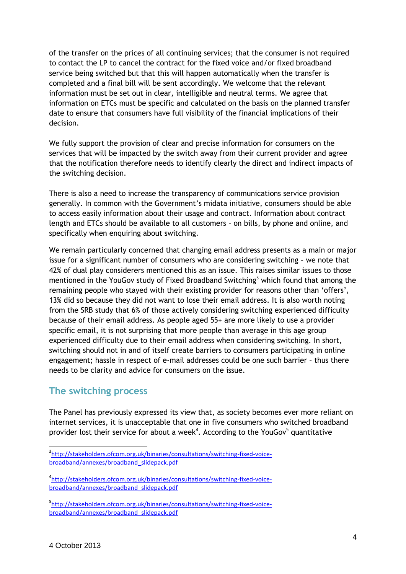of the transfer on the prices of all continuing services; that the consumer is not required to contact the LP to cancel the contract for the fixed voice and/or fixed broadband service being switched but that this will happen automatically when the transfer is completed and a final bill will be sent accordingly. We welcome that the relevant information must be set out in clear, intelligible and neutral terms. We agree that information on ETCs must be specific and calculated on the basis on the planned transfer date to ensure that consumers have full visibility of the financial implications of their decision.

We fully support the provision of clear and precise information for consumers on the services that will be impacted by the switch away from their current provider and agree that the notification therefore needs to identify clearly the direct and indirect impacts of the switching decision.

There is also a need to increase the transparency of communications service provision generally. In common with the Government's midata initiative, consumers should be able to access easily information about their usage and contract. Information about contract length and ETCs should be available to all customers – on bills, by phone and online, and specifically when enquiring about switching.

We remain particularly concerned that changing email address presents as a main or major issue for a significant number of consumers who are considering switching – we note that 42% of dual play considerers mentioned this as an issue. This raises similar issues to those mentioned in the YouGov study of Fixed Broadband Switching<sup>3</sup> which found that among the remaining people who stayed with their existing provider for reasons other than 'offers', 13% did so because they did not want to lose their email address. It is also worth noting from the SRB study that 6% of those actively considering switching experienced difficulty because of their email address. As people aged 55+ are more likely to use a provider specific email, it is not surprising that more people than average in this age group experienced difficulty due to their email address when considering switching. In short, switching should not in and of itself create barriers to consumers participating in online engagement; hassle in respect of e-mail addresses could be one such barrier – thus there needs to be clarity and advice for consumers on the issue.

## **The switching process**

The Panel has previously expressed its view that, as society becomes ever more reliant on internet services, it is unacceptable that one in five consumers who switched broadband provider lost their service for about a week<sup>4</sup>. According to the YouGov<sup>5</sup> quantitative

-

<sup>&</sup>lt;sup>3</sup>[http://stakeholders.ofcom.org.uk/binaries/consultations/switching-fixed-voice](http://stakeholders.ofcom.org.uk/binaries/consultations/switching-fixed-voice-broadband/annexes/broadband_slidepack.pdf)[broadband/annexes/broadband\\_slidepack.pdf](http://stakeholders.ofcom.org.uk/binaries/consultations/switching-fixed-voice-broadband/annexes/broadband_slidepack.pdf)

<sup>4</sup> [http://stakeholders.ofcom.org.uk/binaries/consultations/switching-fixed-voice](http://stakeholders.ofcom.org.uk/binaries/consultations/switching-fixed-voice-broadband/annexes/broadband_slidepack.pdf)[broadband/annexes/broadband\\_slidepack.pdf](http://stakeholders.ofcom.org.uk/binaries/consultations/switching-fixed-voice-broadband/annexes/broadband_slidepack.pdf)

<sup>&</sup>lt;sup>5</sup>[http://stakeholders.ofcom.org.uk/binaries/consultations/switching-fixed-voice](http://stakeholders.ofcom.org.uk/binaries/consultations/switching-fixed-voice-broadband/annexes/broadband_slidepack.pdf)[broadband/annexes/broadband\\_slidepack.pdf](http://stakeholders.ofcom.org.uk/binaries/consultations/switching-fixed-voice-broadband/annexes/broadband_slidepack.pdf)